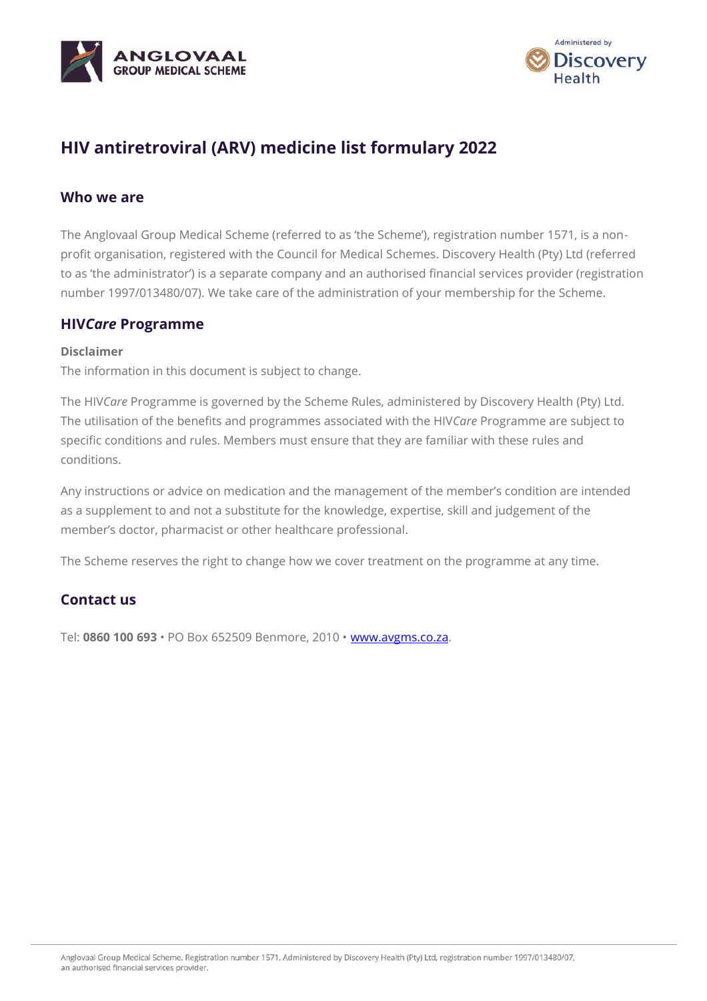



# **HIV antiretroviral (ARV) medicine list formulary 2022**

#### **Who we are**

The Anglovaal Group Medical Scheme (referred to as 'the Scheme'), registration number 1571, is a nonprofit organisation, registered with the Council for Medical Schemes. Discovery Health (Pty) Ltd (referred to as 'the administrator') is a separate company and an authorised financial services provider (registration number 1997/013480/07). We take care of the administration of your membership for the Scheme.

#### **HIV***Care* **Programme**

#### **Disclaimer**

The information in this document is subject to change.

The HIV*Care* Programme is governed by the Scheme Rules, administered by Discovery Health (Pty) Ltd. The utilisation of the benefits and programmes associated with the HIV*Care* Programme are subject to specific conditions and rules. Members must ensure that they are familiar with these rules and conditions.

Any instructions or advice on medication and the management of the member's condition are intended as a supplement to and not a substitute for the knowledge, expertise, skill and judgement of the member's doctor, pharmacist or other healthcare professional.

The Scheme reserves the right to change how we cover treatment on the programme at any time.

### **Contact us**

Tel: **0860 100 693** • PO Box 652509 Benmore, 2010 • [www.avgms.co.za.](http://www.avgms.co.za/)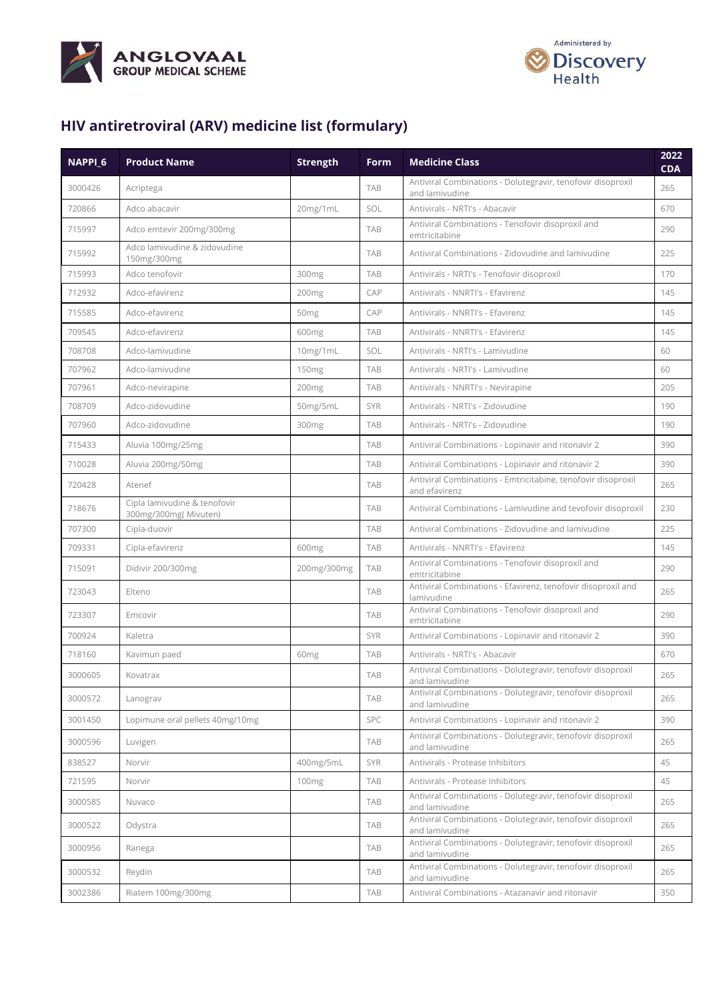



## **HIV antiretroviral (ARV) medicine list (formulary)**

| NAPPI_6 | <b>Product Name</b>                                  | <b>Strength</b>   | Form       | <b>Medicine Class</b>                                                         | 2022<br><b>CDA</b> |
|---------|------------------------------------------------------|-------------------|------------|-------------------------------------------------------------------------------|--------------------|
| 3000426 | Acriptega                                            |                   | TAB        | Antiviral Combinations - Dolutegravir, tenofovir disoproxil<br>and lamivudine | 265                |
| 720866  | Adco abacavir                                        | 20mg/1mL          | SOL        | Antivirals - NRTI's - Abacavir                                                | 670                |
| 715997  | Adco emtevir 200mg/300mg                             |                   | <b>TAB</b> | Antiviral Combinations - Tenofovir disoproxil and<br>emtricitabine            | 290                |
| 715992  | Adco lamivudine & zidovudine<br>150mg/300mg          |                   | <b>TAB</b> | Antiviral Combinations - Zidovudine and lamivudine                            | 225                |
| 715993  | Adco tenofovir                                       | 300mg             | <b>TAB</b> | Antivirals - NRTI's - Tenofovir disoproxil                                    | 170                |
| 712932  | Adco-efavirenz                                       | 200 <sub>mg</sub> | CAP        | Antivirals - NNRTI's - Efavirenz                                              | 145                |
| 715585  | Adco-efavirenz                                       | 50 <sub>mg</sub>  | CAP        | Antivirals - NNRTI's - Efavirenz                                              | 145                |
| 709545  | Adco-efavirenz                                       | 600mg             | <b>TAB</b> | Antivirals - NNRTI's - Efavirenz                                              | 145                |
| 708708  | Adco-lamivudine                                      | 10mg/1mL          | SOL        | Antivirals - NRTI's - Lamivudine                                              | 60                 |
| 707962  | Adco-lamivudine                                      | 150 <sub>mg</sub> | <b>TAB</b> | Antivirals - NRTI's - Lamivudine                                              | 60                 |
| 707961  | Adco-nevirapine                                      | 200 <sub>mg</sub> | <b>TAB</b> | Antivirals - NNRTI's - Nevirapine                                             | 205                |
| 708709  | Adco-zidovudine                                      | 50mg/5mL          | <b>SYR</b> | Antivirals - NRTI's - Zidovudine                                              | 190                |
| 707960  | Adco-zidovudine                                      | 300mg             | <b>TAB</b> | Antivirals - NRTI's - Zidovudine                                              | 190                |
| 715433  | Aluvia 100mg/25mg                                    |                   | <b>TAB</b> | Antiviral Combinations - Lopinavir and ritonavir 2                            | 390                |
| 710028  | Aluvia 200mg/50mg                                    |                   | <b>TAB</b> | Antiviral Combinations - Lopinavir and ritonavir 2                            | 390                |
| 720428  | Atenef                                               |                   | <b>TAB</b> | Antiviral Combinations - Emtricitabine, tenofovir disoproxil<br>and efavirenz | 265                |
| 718676  | Cipla lamivudine & tenofovir<br>300mg/300mg(Mivuten) |                   | <b>TAB</b> | Antiviral Combinations - Lamivudine and tevofovir disoproxil                  | 230                |
| 707300  | Cipla-duovir                                         |                   | <b>TAB</b> | Antiviral Combinations - Zidovudine and lamivudine                            | 225                |
| 709331  | Cipla-efavirenz                                      | 600mg             | <b>TAB</b> | Antivirals - NNRTI's - Efavirenz                                              | 145                |
| 715091  | Didivir 200/300mg                                    | 200mg/300mg       | <b>TAB</b> | Antiviral Combinations - Tenofovir disoproxil and<br>emtricitabine            | 290                |
| 723043  | Elteno                                               |                   | <b>TAB</b> | Antiviral Combinations - Efavirenz, tenofovir disoproxil and<br>lamivudine    | 265                |
| 723307  | Emcovir                                              |                   | <b>TAB</b> | Antiviral Combinations - Tenofovir disoproxil and<br>emtricitabine            | 290                |
| 700924  | Kaletra                                              |                   | SYR        | Antiviral Combinations - Lopinavir and ritonavir 2                            | 390                |
| 718160  | Kavimun paed                                         | 60 <sub>mg</sub>  | <b>TAB</b> | Antivirals - NRTI's - Abacavir                                                | 670                |
| 3000605 | Kovatrax                                             |                   | <b>TAB</b> | Antiviral Combinations - Dolutegravir, tenofovir disoproxil<br>and lamivudine | 265                |
| 3000572 | Lanograv                                             |                   | <b>TAB</b> | Antiviral Combinations - Dolutegravir, tenofovir disoproxil<br>and lamivudine | 265                |
| 3001450 | Lopimune oral pellets 40mg/10mg                      |                   | SPC        | Antiviral Combinations - Lopinavir and ritonavir 2                            | 390                |
| 3000596 | Luvigen                                              |                   | <b>TAB</b> | Antiviral Combinations - Dolutegravir, tenofovir disoproxil<br>and lamivudine | 265                |
| 838527  | Norvir                                               | 400mg/5mL         | <b>SYR</b> | Antivirals - Protease Inhibitors                                              | 45                 |
| 721595  | Norvir                                               | 100 <sub>mg</sub> | <b>TAB</b> | Antivirals - Protease Inhibitors                                              | 45                 |
| 3000585 | Nuvaco                                               |                   | TAB        | Antiviral Combinations - Dolutegravir, tenofovir disoproxil<br>and lamivudine | 265                |
| 3000522 | Odystra                                              |                   | TAB        | Antiviral Combinations - Dolutegravir, tenofovir disoproxil<br>and lamivudine | 265                |
| 3000956 | Ranega                                               |                   | TAB        | Antiviral Combinations - Dolutegravir, tenofovir disoproxil<br>and lamivudine | 265                |
| 3000532 | Reydin                                               |                   | TAB        | Antiviral Combinations - Dolutegravir, tenofovir disoproxil<br>and lamivudine | 265                |
| 3002386 | Riatem 100mg/300mg                                   |                   | TAB        | Antiviral Combinations - Atazanavir and ritonavir                             | 350                |